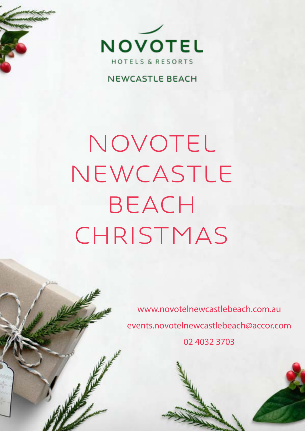

#### **NEWCASTLE BEACH**

# NOVOTEL Newcastle **BEACH** CHRISTMAS

www.novotelnewcastlebeach.com.au events.novotelnewcastlebeach@accor.com 02 4032 3703

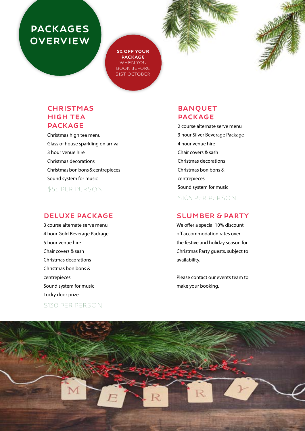# PACKAGES **OVERVIEW**

5% OFF YOUR PACKAGE WHEN YOU Book BEFORE 31ST OCTOBER



#### **CHRISTMAS** HIGH TEA PACKAGE

Christmas high tea menu Glass of house sparkling on arrival 3 hour venue hire Christmas decorations [Christmas bon bons & centrepieces](#page-2-0) Sound system for music \$55 Per Person

#### [DELUXE PACKAGE](#page-3-0)

3 course alternate serve menu 4 hour Gold Beverage Package 5 hour venue hire Chair covers & sash Christmas decorations Christmas bon bons & centrepieces Sound system for music Lucky door prize

#### \$130 Per Person

#### BANQUET PACKAGE

2 course alternate serve menu 3 hour Silver Beverage Package 4 hour venue hire Chair covers & sash Christmas decorations Christmas bon bons & centrepieces Sound system for music \$105 Per Person

#### SLUMBER & PARTY

We offer a special 10% discount off accommodation rates over the festive and holiday season for Christmas Party guests, subject to availability.

Please contact our events team to make your booking.

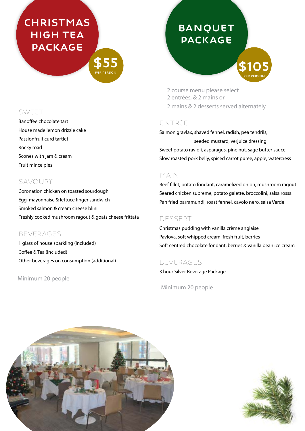# <span id="page-2-0"></span>**CHRISTMAS** HIGH TEA PACKAGE

\$55 PER PERSON

#### SWEET

Banoffee chocolate tart House made lemon drizzle cake Passionfruit curd tartlet Rocky road Scones with jam & cream Fruit mince pies

#### SAVOURY

Coronation chicken on toasted sourdough Egg, mayonnaise & lettuce finger sandwich Smoked salmon & cream cheese blini Freshly cooked mushroom ragout & goats cheese frittata

#### BEVERAGES

1 glass of house sparkling (included) Coffee & Tea (included) Other beverages on consumption (additional)

#### Minimum 20 people

# **BANQUET** PACKAGE

\$105 PER PERSON

2 course menu please select 2 entrées, & 2 mains or 2 mains & 2 desserts served alternately

#### Entrée

Salmon gravlax, shaved fennel, radish, pea tendrils, seeded mustard, verjuice dressing Sweet potato ravioli, asparagus, pine nut, sage butter sauce Slow roasted pork belly, spiced carrot puree, apple, watercress

#### Main

Beef fillet, potato fondant, caramelized onion, mushroom ragout Seared chicken supreme, potato galette, broccolini, salsa rossa Pan fried barramundi, roast fennel, cavolo nero, salsa Verde

#### Dessert

Christmas pudding with vanilla crème anglaise Pavlova, soft whipped cream, fresh fruit, berries Soft centred chocolate fondant, berries & vanilla bean ice cream

#### Beverages

3 hour Silver Beverage Package

Minimum 20 people